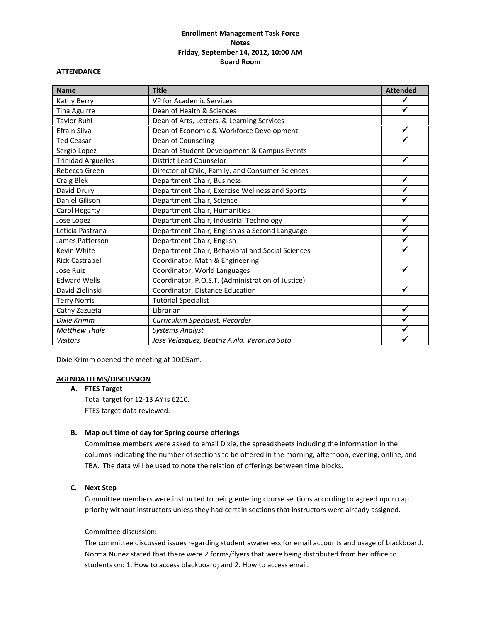# **Enrollment Management Task Force Notes Friday, September 14, 2012, 10:00 AM Board Room**

#### **ATTENDANCE**

| <b>Name</b>               | <b>Title</b>                                      | <b>Attended</b> |
|---------------------------|---------------------------------------------------|-----------------|
| Kathy Berry               | VP for Academic Services                          |                 |
| Tina Aguirre              | Dean of Health & Sciences                         | ✓               |
| Taylor Ruhl               | Dean of Arts, Letters, & Learning Services        |                 |
| Efrain Silva              | Dean of Economic & Workforce Development          | ✓               |
| <b>Ted Ceasar</b>         | Dean of Counseling                                |                 |
| Sergio Lopez              | Dean of Student Development & Campus Events       |                 |
| <b>Trinidad Arguelles</b> | <b>District Lead Counselor</b>                    | ✓               |
| Rebecca Green             | Director of Child, Family, and Consumer Sciences  |                 |
| Craig Blek                | Department Chair, Business                        | ✓               |
| David Drury               | Department Chair, Exercise Wellness and Sports    |                 |
| Daniel Gilison            | Department Chair, Science                         |                 |
| Carol Hegarty             | Department Chair, Humanities                      |                 |
| Jose Lopez                | Department Chair, Industrial Technology           | ✓               |
| Leticia Pastrana          | Department Chair, English as a Second Language    |                 |
| James Patterson           | Department Chair, English                         |                 |
| Kevin White               | Department Chair, Behavioral and Social Sciences  |                 |
| <b>Rick Castrapel</b>     | Coordinator, Math & Engineering                   |                 |
| Jose Ruiz                 | Coordinator, World Languages                      | ✔               |
| <b>Edward Wells</b>       | Coordinator, P.O.S.T. (Administration of Justice) |                 |
| David Zielinski           | Coordinator, Distance Education                   | ✓               |
| <b>Terry Norris</b>       | <b>Tutorial Specialist</b>                        |                 |
| Cathy Zazueta             | Librarian                                         | ✓               |
| Dixie Krimm               | Curriculum Specialist, Recorder                   |                 |
| <b>Matthew Thale</b>      | <b>Systems Analyst</b>                            |                 |
| <b>Visitors</b>           | Jose Velasquez, Beatriz Avila, Veronica Soto      |                 |

Dixie Krimm opened the meeting at 10:05am.

#### **AGENDA ITEMS/DISCUSSION**

### **A. FTES Target**

Total target for 12-13 AY is 6210. FTES target data reviewed.

#### **B. Map out time of day for Spring course offerings**

Committee members were asked to email Dixie, the spreadsheets including the information in the columns indicating the number of sections to be offered in the morning, afternoon, evening, online, and TBA. The data will be used to note the relation of offerings between time blocks.

### **C. Next Step**

Committee members were instructed to being entering course sections according to agreed upon cap priority without instructors unless they had certain sections that instructors were already assigned.

### Committee discussion:

The committee discussed issues regarding student awareness for email accounts and usage of blackboard. Norma Nunez stated that there were 2 forms/flyers that were being distributed from her office to students on: 1. How to access blackboard; and 2. How to access email.